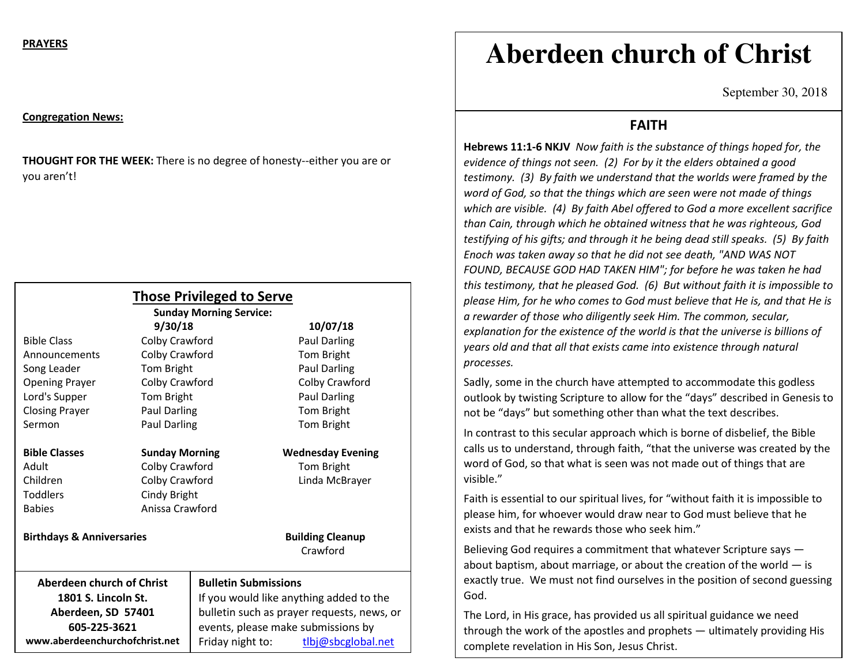#### **Congregation News:**

**THOUGHT FOR THE WEEK:** There is no degree of honesty--either you are or you aren't!

| <b>Those Privileged to Serve</b><br><b>Sunday Morning Service:</b> |                       |                                            |                          |
|--------------------------------------------------------------------|-----------------------|--------------------------------------------|--------------------------|
|                                                                    | 9/30/18               |                                            | 10/07/18                 |
| <b>Bible Class</b>                                                 | Colby Crawford        |                                            | <b>Paul Darling</b>      |
| Announcements                                                      | Colby Crawford        |                                            | Tom Bright               |
| Song Leader                                                        | Tom Bright            |                                            | <b>Paul Darling</b>      |
| <b>Opening Prayer</b>                                              | Colby Crawford        |                                            | Colby Crawford           |
| Lord's Supper                                                      | Tom Bright            |                                            | <b>Paul Darling</b>      |
| <b>Closing Prayer</b>                                              | Paul Darling          |                                            | Tom Bright               |
| Sermon                                                             | Paul Darling          |                                            | Tom Bright               |
| <b>Bible Classes</b>                                               | <b>Sunday Morning</b> |                                            | <b>Wednesday Evening</b> |
| Adult                                                              | Colby Crawford        |                                            | Tom Bright               |
| Children                                                           | Colby Crawford        |                                            | Linda McBrayer           |
| <b>Toddlers</b>                                                    | Cindy Bright          |                                            |                          |
| <b>Babies</b>                                                      | Anissa Crawford       |                                            |                          |
| <b>Birthdays &amp; Anniversaries</b>                               |                       |                                            | <b>Building Cleanup</b>  |
|                                                                    |                       |                                            | Crawford                 |
| <b>Aberdeen church of Christ</b>                                   |                       | <b>Bulletin Submissions</b>                |                          |
| 1801 S. Lincoln St.                                                |                       | If you would like anything added to the    |                          |
| Aberdeen, SD 57401                                                 |                       | bulletin such as prayer requests, news, or |                          |
| 605-225-3621                                                       |                       | events, please make submissions by         |                          |
| www.aberdeenchurchofchrist.net                                     |                       | Friday night to:                           | tlbj@sbcglobal.net       |

# **Aberdeen church of Christ**

September 30, 2018

### **FAITH**

**Hebrews 11:1-6 NKJV** *Now faith is the substance of things hoped for, the evidence of things not seen. (2) For by it the elders obtained a good testimony. (3) By faith we understand that the worlds were framed by the word of God, so that the things which are seen were not made of things which are visible. (4) By faith Abel offered to God a more excellent sacrifice than Cain, through which he obtained witness that he was righteous, God testifying of his gifts; and through it he being dead still speaks. (5) By faith Enoch was taken away so that he did not see death, "AND WAS NOT FOUND, BECAUSE GOD HAD TAKEN HIM"; for before he was taken he had this testimony, that he pleased God. (6) But without faith it is impossible to please Him, for he who comes to God must believe that He is, and that He is a rewarder of those who diligently seek Him. The common, secular, explanation for the existence of the world is that the universe is billions of years old and that all that exists came into existence through natural processes.* 

Sadly, some in the church have attempted to accommodate this godless outlook by twisting Scripture to allow for the "days" described in Genesis to not be "days" but something other than what the text describes.

In contrast to this secular approach which is borne of disbelief, the Bible calls us to understand, through faith, "that the universe was created by the word of God, so that what is seen was not made out of things that are visible."

Faith is essential to our spiritual lives, for "without faith it is impossible to please him, for whoever would draw near to God must believe that he exists and that he rewards those who seek him."

Believing God requires a commitment that whatever Scripture says about baptism, about marriage, or about the creation of the world  $-$  is exactly true. We must not find ourselves in the position of second guessing God.

The Lord, in His grace, has provided us all spiritual guidance we need through the work of the apostles and prophets — ultimately providing His complete revelation in His Son, Jesus Christ.